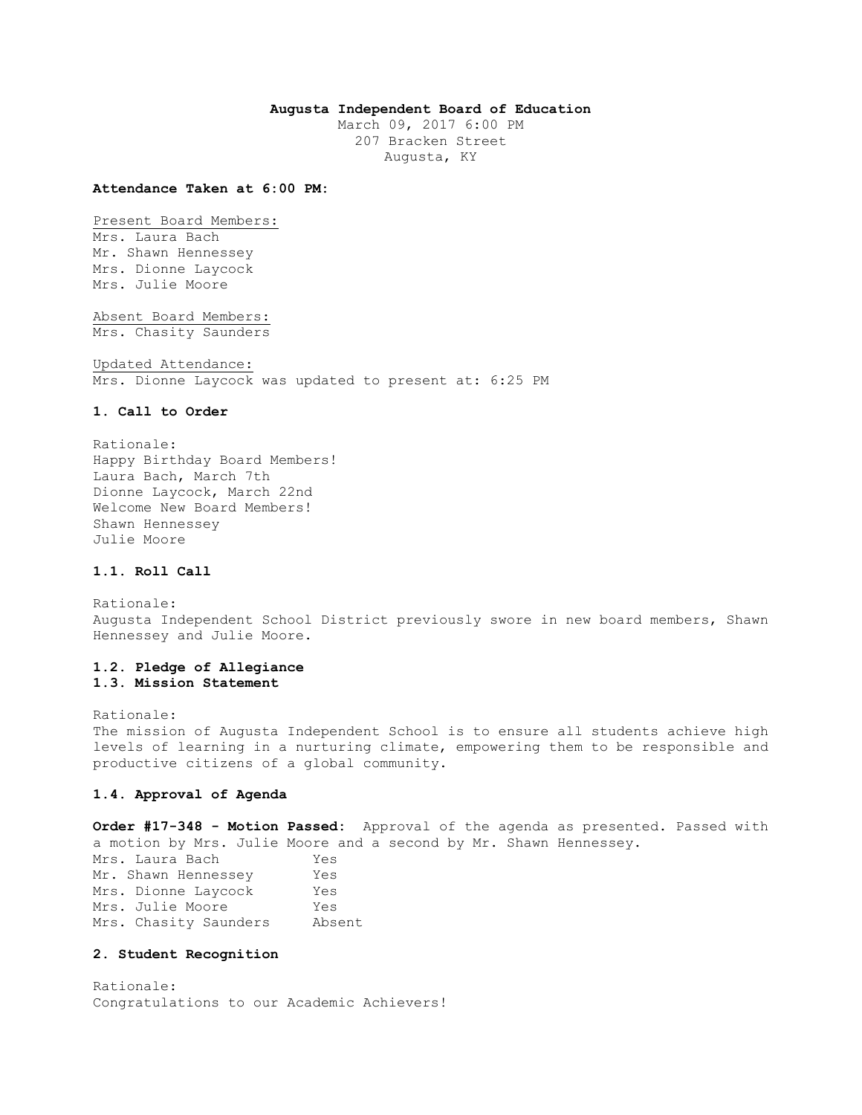# **Augusta Independent Board of Education**

March 09, 2017 6:00 PM 207 Bracken Street Augusta, KY

#### **Attendance Taken at 6:00 PM:**

Present Board Members: Mrs. Laura Bach

Mr. Shawn Hennessey Mrs. Dionne Laycock Mrs. Julie Moore

Absent Board Members: Mrs. Chasity Saunders

Updated Attendance: Mrs. Dionne Laycock was updated to present at: 6:25 PM

#### **1. Call to Order**

Rationale: Happy Birthday Board Members! Laura Bach, March 7th Dionne Laycock, March 22nd Welcome New Board Members! Shawn Hennessey Julie Moore

# **1.1. Roll Call**

Rationale: Augusta Independent School District previously swore in new board members, Shawn Hennessey and Julie Moore.

# **1.2. Pledge of Allegiance 1.3. Mission Statement**

Rationale: The mission of Augusta Independent School is to ensure all students achieve high levels of learning in a nurturing climate, empowering them to be responsible and productive citizens of a global community.

### **1.4. Approval of Agenda**

**Order #17-348 - Motion Passed:** Approval of the agenda as presented. Passed with a motion by Mrs. Julie Moore and a second by Mr. Shawn Hennessey.

| Mrs. Laura Bach       | Yes    |
|-----------------------|--------|
| Mr. Shawn Hennessey   | Yes    |
| Mrs. Dionne Laycock   | Yes    |
| Mrs. Julie Moore      | Yes    |
| Mrs. Chasity Saunders | Absent |

#### **2. Student Recognition**

Rationale: Congratulations to our Academic Achievers!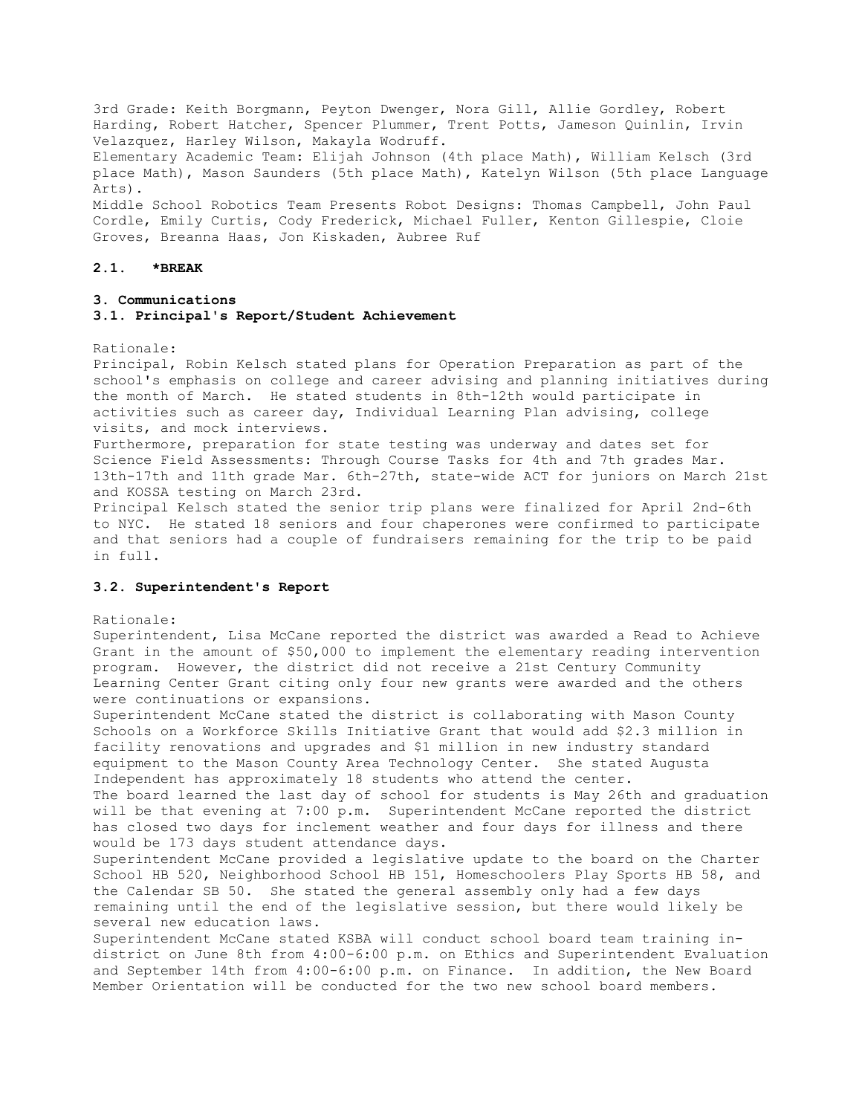3rd Grade: Keith Borgmann, Peyton Dwenger, Nora Gill, Allie Gordley, Robert Harding, Robert Hatcher, Spencer Plummer, Trent Potts, Jameson Quinlin, Irvin Velazquez, Harley Wilson, Makayla Wodruff. Elementary Academic Team: Elijah Johnson (4th place Math), William Kelsch (3rd place Math), Mason Saunders (5th place Math), Katelyn Wilson (5th place Language Arts). Middle School Robotics Team Presents Robot Designs: Thomas Campbell, John Paul Cordle, Emily Curtis, Cody Frederick, Michael Fuller, Kenton Gillespie, Cloie Groves, Breanna Haas, Jon Kiskaden, Aubree Ruf

#### **2.1. \*BREAK**

### **3. Communications**

### **3.1. Principal's Report/Student Achievement**

#### Rationale:

Principal, Robin Kelsch stated plans for Operation Preparation as part of the school's emphasis on college and career advising and planning initiatives during the month of March. He stated students in 8th-12th would participate in activities such as career day, Individual Learning Plan advising, college visits, and mock interviews.

Furthermore, preparation for state testing was underway and dates set for Science Field Assessments: Through Course Tasks for 4th and 7th grades Mar. 13th-17th and 11th grade Mar. 6th-27th, state-wide ACT for juniors on March 21st and KOSSA testing on March 23rd.

Principal Kelsch stated the senior trip plans were finalized for April 2nd-6th to NYC. He stated 18 seniors and four chaperones were confirmed to participate and that seniors had a couple of fundraisers remaining for the trip to be paid in full.

### **3.2. Superintendent's Report**

#### Rationale:

Superintendent, Lisa McCane reported the district was awarded a Read to Achieve Grant in the amount of \$50,000 to implement the elementary reading intervention program. However, the district did not receive a 21st Century Community Learning Center Grant citing only four new grants were awarded and the others were continuations or expansions.

Superintendent McCane stated the district is collaborating with Mason County Schools on a Workforce Skills Initiative Grant that would add \$2.3 million in facility renovations and upgrades and \$1 million in new industry standard equipment to the Mason County Area Technology Center. She stated Augusta Independent has approximately 18 students who attend the center.

The board learned the last day of school for students is May 26th and graduation will be that evening at 7:00 p.m. Superintendent McCane reported the district has closed two days for inclement weather and four days for illness and there would be 173 days student attendance days.

Superintendent McCane provided a legislative update to the board on the Charter School HB 520, Neighborhood School HB 151, Homeschoolers Play Sports HB 58, and the Calendar SB 50. She stated the general assembly only had a few days remaining until the end of the legislative session, but there would likely be several new education laws.

Superintendent McCane stated KSBA will conduct school board team training indistrict on June 8th from 4:00-6:00 p.m. on Ethics and Superintendent Evaluation and September 14th from 4:00-6:00 p.m. on Finance. In addition, the New Board Member Orientation will be conducted for the two new school board members.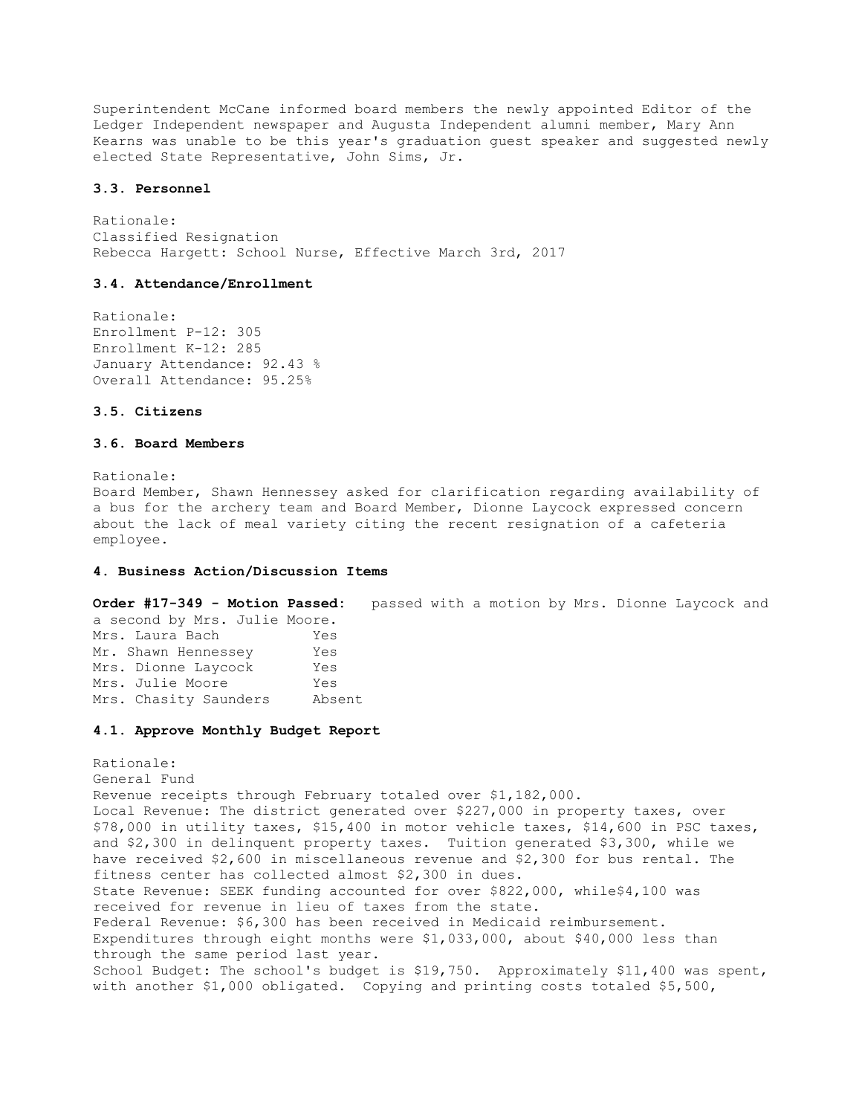Superintendent McCane informed board members the newly appointed Editor of the Ledger Independent newspaper and Augusta Independent alumni member, Mary Ann Kearns was unable to be this year's graduation guest speaker and suggested newly elected State Representative, John Sims, Jr.

### **3.3. Personnel**

Rationale: Classified Resignation Rebecca Hargett: School Nurse, Effective March 3rd, 2017

## **3.4. Attendance/Enrollment**

Rationale: Enrollment P-12: 305 Enrollment K-12: 285 January Attendance: 92.43 % Overall Attendance: 95.25%

# **3.5. Citizens**

# **3.6. Board Members**

Rationale:

Board Member, Shawn Hennessey asked for clarification regarding availability of a bus for the archery team and Board Member, Dionne Laycock expressed concern about the lack of meal variety citing the recent resignation of a cafeteria employee.

### **4. Business Action/Discussion Items**

**Order #17-349 - Motion Passed:** passed with a motion by Mrs. Dionne Laycock and

| a second by Mrs. Julie Moore. |        |
|-------------------------------|--------|
| Mrs. Laura Bach               | Yes    |
| Mr. Shawn Hennessey           | Yes    |
| Mrs. Dionne Laycock           | Yes    |
| Mrs. Julie Moore              | Yes    |
| Mrs. Chasity Saunders         | Absent |

#### **4.1. Approve Monthly Budget Report**

Rationale: General Fund Revenue receipts through February totaled over \$1,182,000. Local Revenue: The district generated over \$227,000 in property taxes, over \$78,000 in utility taxes, \$15,400 in motor vehicle taxes, \$14,600 in PSC taxes, and \$2,300 in delinquent property taxes. Tuition generated \$3,300, while we have received \$2,600 in miscellaneous revenue and \$2,300 for bus rental. The fitness center has collected almost \$2,300 in dues. State Revenue: SEEK funding accounted for over \$822,000, while\$4,100 was received for revenue in lieu of taxes from the state. Federal Revenue: \$6,300 has been received in Medicaid reimbursement. Expenditures through eight months were \$1,033,000, about \$40,000 less than through the same period last year. School Budget: The school's budget is \$19,750. Approximately \$11,400 was spent, with another \$1,000 obligated. Copying and printing costs totaled \$5,500,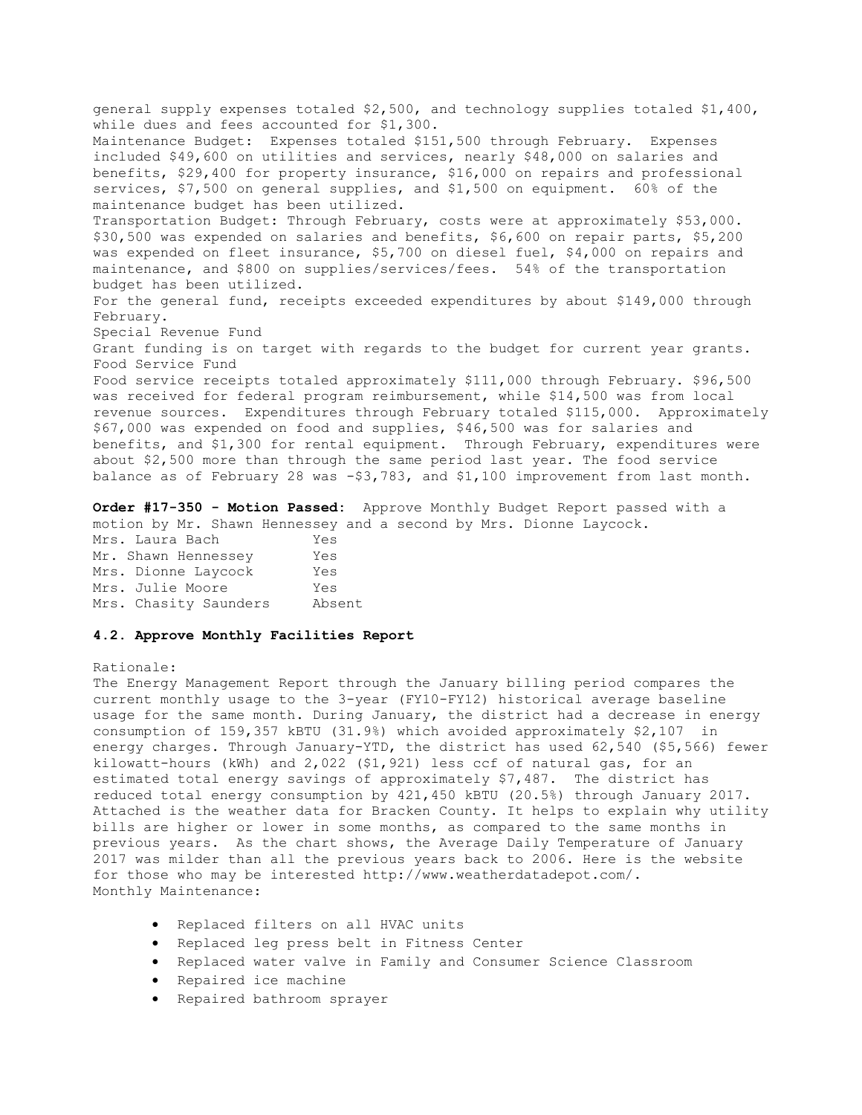general supply expenses totaled \$2,500, and technology supplies totaled \$1,400, while dues and fees accounted for \$1,300. Maintenance Budget: Expenses totaled \$151,500 through February. Expenses included \$49,600 on utilities and services, nearly \$48,000 on salaries and benefits, \$29,400 for property insurance, \$16,000 on repairs and professional services, \$7,500 on general supplies, and \$1,500 on equipment. 60% of the maintenance budget has been utilized. Transportation Budget: Through February, costs were at approximately \$53,000. \$30,500 was expended on salaries and benefits, \$6,600 on repair parts, \$5,200 was expended on fleet insurance, \$5,700 on diesel fuel, \$4,000 on repairs and maintenance, and \$800 on supplies/services/fees. 54% of the transportation budget has been utilized. For the general fund, receipts exceeded expenditures by about \$149,000 through February. Special Revenue Fund Grant funding is on target with regards to the budget for current year grants. Food Service Fund Food service receipts totaled approximately \$111,000 through February. \$96,500 was received for federal program reimbursement, while \$14,500 was from local revenue sources. Expenditures through February totaled \$115,000. Approximately \$67,000 was expended on food and supplies, \$46,500 was for salaries and benefits, and \$1,300 for rental equipment. Through February, expenditures were about \$2,500 more than through the same period last year. The food service balance as of February 28 was -\$3,783, and \$1,100 improvement from last month.

**Order #17-350 - Motion Passed:** Approve Monthly Budget Report passed with a motion by Mr. Shawn Hennessey and a second by Mrs. Dionne Laycock.

| Mrs. Laura Bach       | Yes    |
|-----------------------|--------|
| Mr. Shawn Hennessey   | Yes    |
| Mrs. Dionne Laycock   | Yes    |
| Mrs. Julie Moore      | Yes    |
| Mrs. Chasity Saunders | Absent |

### **4.2. Approve Monthly Facilities Report**

## Rationale:

The Energy Management Report through the January billing period compares the current monthly usage to the 3-year (FY10-FY12) historical average baseline usage for the same month. During January, the district had a decrease in energy consumption of 159,357 kBTU (31.9%) which avoided approximately \$2,107 in energy charges. Through January-YTD, the district has used 62,540 (\$5,566) fewer kilowatt-hours (kWh) and 2,022 (\$1,921) less ccf of natural gas, for an estimated total energy savings of approximately \$7,487. The district has reduced total energy consumption by 421,450 kBTU (20.5%) through January 2017. Attached is the weather data for Bracken County. It helps to explain why utility bills are higher or lower in some months, as compared to the same months in previous years. As the chart shows, the Average Daily Temperature of January 2017 was milder than all the previous years back to 2006. Here is the website for those who may be interested http://www.weatherdatadepot.com/. Monthly Maintenance:

- Replaced filters on all HVAC units
- Replaced leg press belt in Fitness Center
- Replaced water valve in Family and Consumer Science Classroom
- Repaired ice machine
- Repaired bathroom sprayer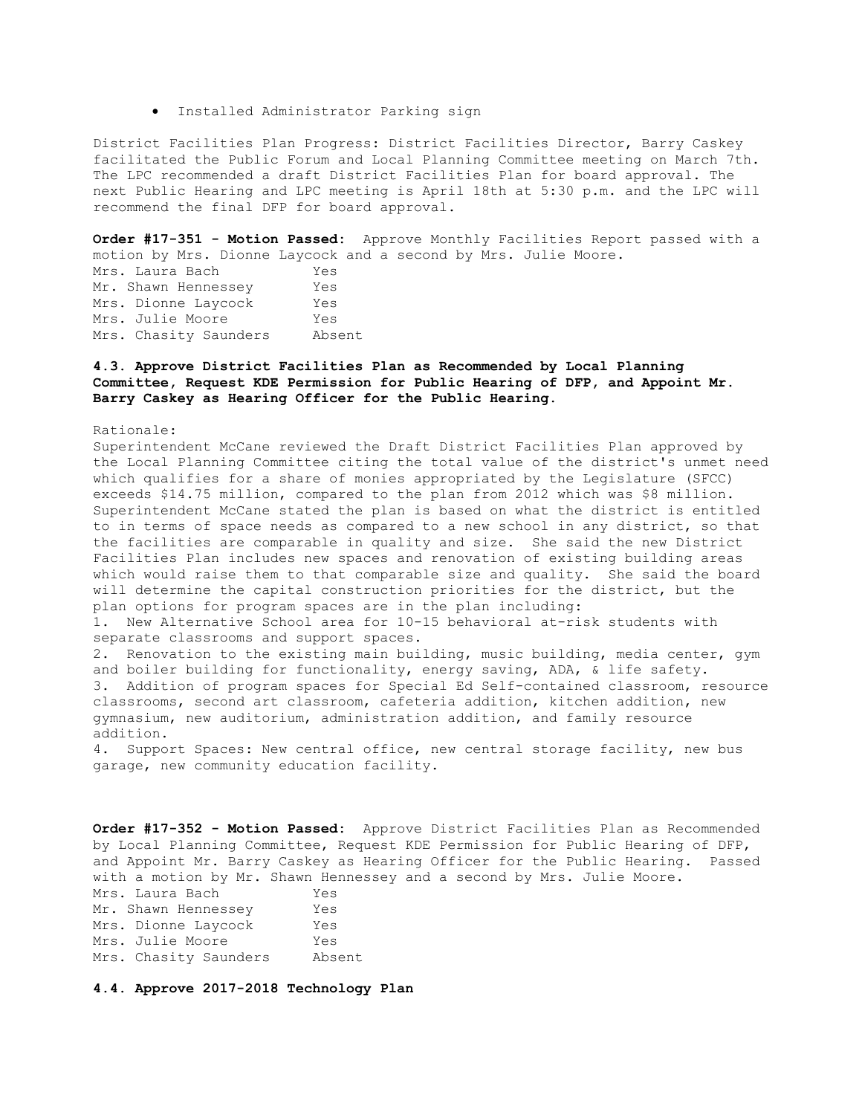Installed Administrator Parking sign

District Facilities Plan Progress: District Facilities Director, Barry Caskey facilitated the Public Forum and Local Planning Committee meeting on March 7th. The LPC recommended a draft District Facilities Plan for board approval. The next Public Hearing and LPC meeting is April 18th at 5:30 p.m. and the LPC will recommend the final DFP for board approval.

**Order #17-351 - Motion Passed:** Approve Monthly Facilities Report passed with a motion by Mrs. Dionne Laycock and a second by Mrs. Julie Moore.

Mrs. Laura Bach Yes Mr. Shawn Hennessey Yes Mrs. Dionne Laycock Yes Mrs. Julie Moore Yes Mrs. Chasity Saunders Absent

# **4.3. Approve District Facilities Plan as Recommended by Local Planning Committee, Request KDE Permission for Public Hearing of DFP, and Appoint Mr. Barry Caskey as Hearing Officer for the Public Hearing.**

Rationale:

Superintendent McCane reviewed the Draft District Facilities Plan approved by the Local Planning Committee citing the total value of the district's unmet need which qualifies for a share of monies appropriated by the Legislature (SFCC) exceeds \$14.75 million, compared to the plan from 2012 which was \$8 million. Superintendent McCane stated the plan is based on what the district is entitled to in terms of space needs as compared to a new school in any district, so that the facilities are comparable in quality and size. She said the new District Facilities Plan includes new spaces and renovation of existing building areas which would raise them to that comparable size and quality. She said the board will determine the capital construction priorities for the district, but the plan options for program spaces are in the plan including: 1. New Alternative School area for 10-15 behavioral at-risk students with separate classrooms and support spaces. 2. Renovation to the existing main building, music building, media center, gym and boiler building for functionality, energy saving, ADA, & life safety. 3. Addition of program spaces for Special Ed Self-contained classroom, resource classrooms, second art classroom, cafeteria addition, kitchen addition, new

gymnasium, new auditorium, administration addition, and family resource addition. 4. Support Spaces: New central office, new central storage facility, new bus

garage, new community education facility.

**Order #17-352 - Motion Passed:** Approve District Facilities Plan as Recommended by Local Planning Committee, Request KDE Permission for Public Hearing of DFP, and Appoint Mr. Barry Caskey as Hearing Officer for the Public Hearing. Passed with a motion by Mr. Shawn Hennessey and a second by Mrs. Julie Moore. Mrs. Laura Bach Yes Mr. Shawn Hennessey Yes Mrs. Dionne Laycock Yes Mrs. Julie Moore Yes Mrs. Chasity Saunders Absent

**4.4. Approve 2017-2018 Technology Plan**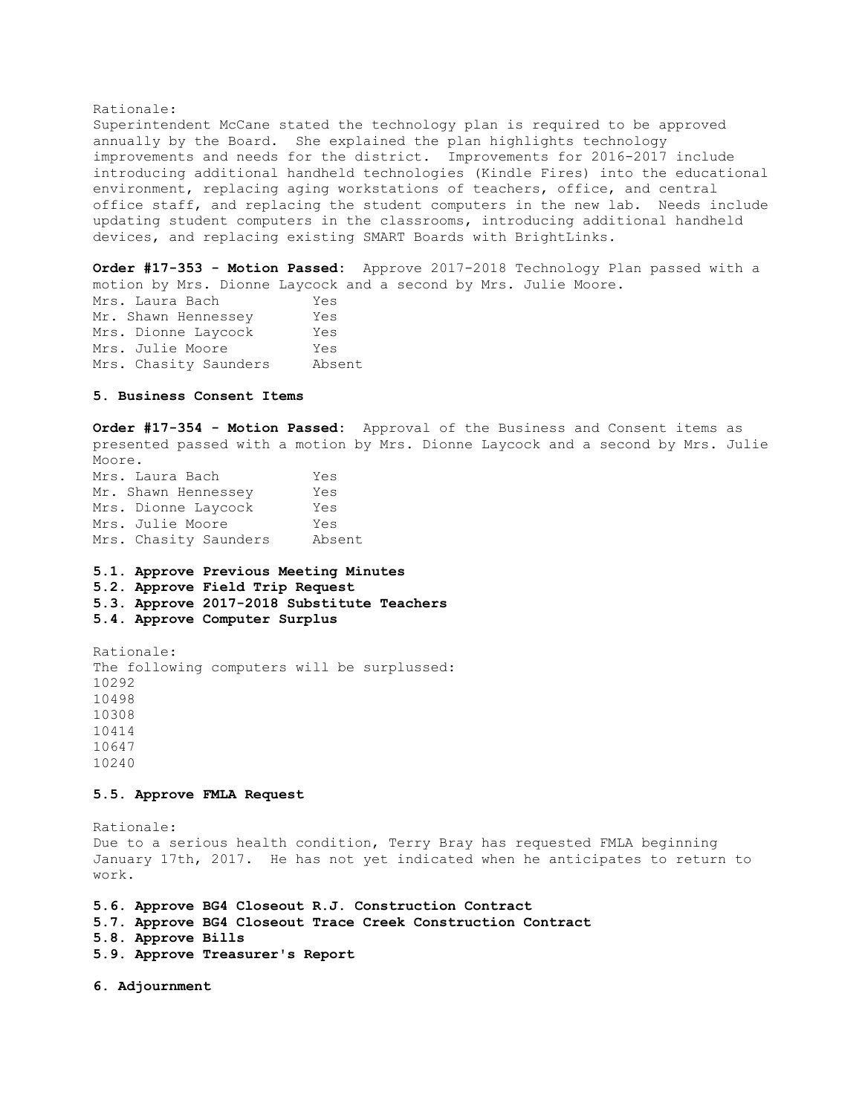#### Rationale:

Superintendent McCane stated the technology plan is required to be approved annually by the Board. She explained the plan highlights technology improvements and needs for the district. Improvements for 2016-2017 include introducing additional handheld technologies (Kindle Fires) into the educational environment, replacing aging workstations of teachers, office, and central office staff, and replacing the student computers in the new lab. Needs include updating student computers in the classrooms, introducing additional handheld devices, and replacing existing SMART Boards with BrightLinks.

**Order #17-353 - Motion Passed:** Approve 2017-2018 Technology Plan passed with a motion by Mrs. Dionne Laycock and a second by Mrs. Julie Moore.

Mrs. Laura Bach Yes Mr. Shawn Hennessey Yes Mrs. Dionne Laycock Yes Mrs. Julie Moore Yes Mrs. Chasity Saunders Absent

## **5. Business Consent Items**

**Order #17-354 - Motion Passed:** Approval of the Business and Consent items as presented passed with a motion by Mrs. Dionne Laycock and a second by Mrs. Julie Moore.

Mrs. Laura Bach Yes Mr. Shawn Hennessey Yes Mrs. Dionne Laycock Yes Mrs. Julie Moore Yes Mrs. Chasity Saunders Absent

#### **5.1. Approve Previous Meeting Minutes**

**5.2. Approve Field Trip Request** 

**5.3. Approve 2017-2018 Substitute Teachers** 

**5.4. Approve Computer Surplus** 

Rationale: The following computers will be surplussed: 10292 10498 10308 10414 10647 10240

#### **5.5. Approve FMLA Request**

Rationale: Due to a serious health condition, Terry Bray has requested FMLA beginning January 17th, 2017. He has not yet indicated when he anticipates to return to work.

**5.6. Approve BG4 Closeout R.J. Construction Contract 5.7. Approve BG4 Closeout Trace Creek Construction Contract 5.8. Approve Bills** 

**5.9. Approve Treasurer's Report** 

**6. Adjournment**